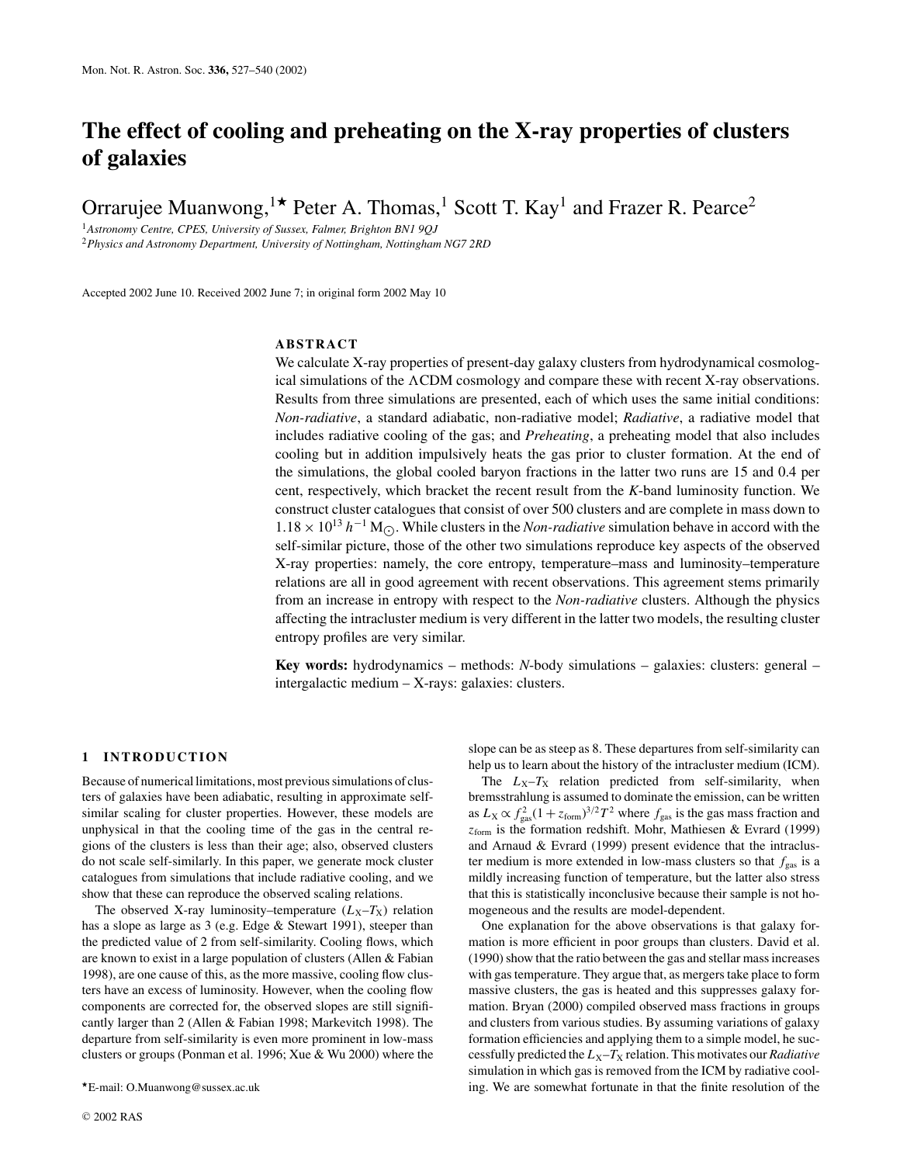# **The effect of cooling and preheating on the X-ray properties of clusters of galaxies**

Orrarujee Muanwong,<sup>1\*</sup> Peter A. Thomas,<sup>1</sup> Scott T. Kay<sup>1</sup> and Frazer R. Pearce<sup>2</sup>

<sup>1</sup>*Astronomy Centre, CPES, University of Sussex, Falmer, Brighton BN1 9QJ* <sup>2</sup>*Physics and Astronomy Department, University of Nottingham, Nottingham NG7 2RD*

Accepted 2002 June 10. Received 2002 June 7; in original form 2002 May 10

## **ABSTRACT**

We calculate X-ray properties of present-day galaxy clusters from hydrodynamical cosmological simulations of the  $\Lambda$ CDM cosmology and compare these with recent X-ray observations. Results from three simulations are presented, each of which uses the same initial conditions: *Non-radiative*, a standard adiabatic, non-radiative model; *Radiative*, a radiative model that includes radiative cooling of the gas; and *Preheating*, a preheating model that also includes cooling but in addition impulsively heats the gas prior to cluster formation. At the end of the simulations, the global cooled baryon fractions in the latter two runs are 15 and 0.4 per cent, respectively, which bracket the recent result from the *K*-band luminosity function. We construct cluster catalogues that consist of over 500 clusters and are complete in mass down to  $1.18 \times 10^{13} h^{-1}$  M<sub>.</sub>. While clusters in the *Non-radiative* simulation behave in accord with the self-similar picture, those of the other two simulations reproduce key aspects of the observed X-ray properties: namely, the core entropy, temperature–mass and luminosity–temperature relations are all in good agreement with recent observations. This agreement stems primarily from an increase in entropy with respect to the *Non-radiative* clusters. Although the physics affecting the intracluster medium is very different in the latter two models, the resulting cluster entropy profiles are very similar.

**Key words:** hydrodynamics – methods: *N*-body simulations – galaxies: clusters: general – intergalactic medium – X-rays: galaxies: clusters.

## **1 INTRODUCTION**

Because of numerical limitations, most previous simulations of clusters of galaxies have been adiabatic, resulting in approximate selfsimilar scaling for cluster properties. However, these models are unphysical in that the cooling time of the gas in the central regions of the clusters is less than their age; also, observed clusters do not scale self-similarly. In this paper, we generate mock cluster catalogues from simulations that include radiative cooling, and we show that these can reproduce the observed scaling relations.

The observed X-ray luminosity–temperature  $(L_X-T_X)$  relation has a slope as large as 3 (e.g. Edge & Stewart 1991), steeper than the predicted value of 2 from self-similarity. Cooling flows, which are known to exist in a large population of clusters (Allen & Fabian 1998), are one cause of this, as the more massive, cooling flow clusters have an excess of luminosity. However, when the cooling flow components are corrected for, the observed slopes are still significantly larger than 2 (Allen & Fabian 1998; Markevitch 1998). The departure from self-similarity is even more prominent in low-mass clusters or groups (Ponman et al. 1996; Xue & Wu 2000) where the slope can be as steep as 8. These departures from self-similarity can help us to learn about the history of the intracluster medium (ICM).

The  $L_X-T_X$  relation predicted from self-similarity, when bremsstrahlung is assumed to dominate the emission, can be written as  $L_X \propto f_{\text{gas}}^2 (1 + z_{\text{form}})^{3/2} T^2$  where  $f_{\text{gas}}$  is the gas mass fraction and *z*form is the formation redshift. Mohr, Mathiesen & Evrard (1999) and Arnaud & Evrard (1999) present evidence that the intracluster medium is more extended in low-mass clusters so that  $f_{\text{gas}}$  is a mildly increasing function of temperature, but the latter also stress that this is statistically inconclusive because their sample is not homogeneous and the results are model-dependent.

One explanation for the above observations is that galaxy formation is more efficient in poor groups than clusters. David et al. (1990) show that the ratio between the gas and stellar mass increases with gas temperature. They argue that, as mergers take place to form massive clusters, the gas is heated and this suppresses galaxy formation. Bryan (2000) compiled observed mass fractions in groups and clusters from various studies. By assuming variations of galaxy formation efficiencies and applying them to a simple model, he successfully predicted the  $L_X-T_X$  relation. This motivates our *Radiative* simulation in which gas is removed from the ICM by radiative cooling. We are somewhat fortunate in that the finite resolution of the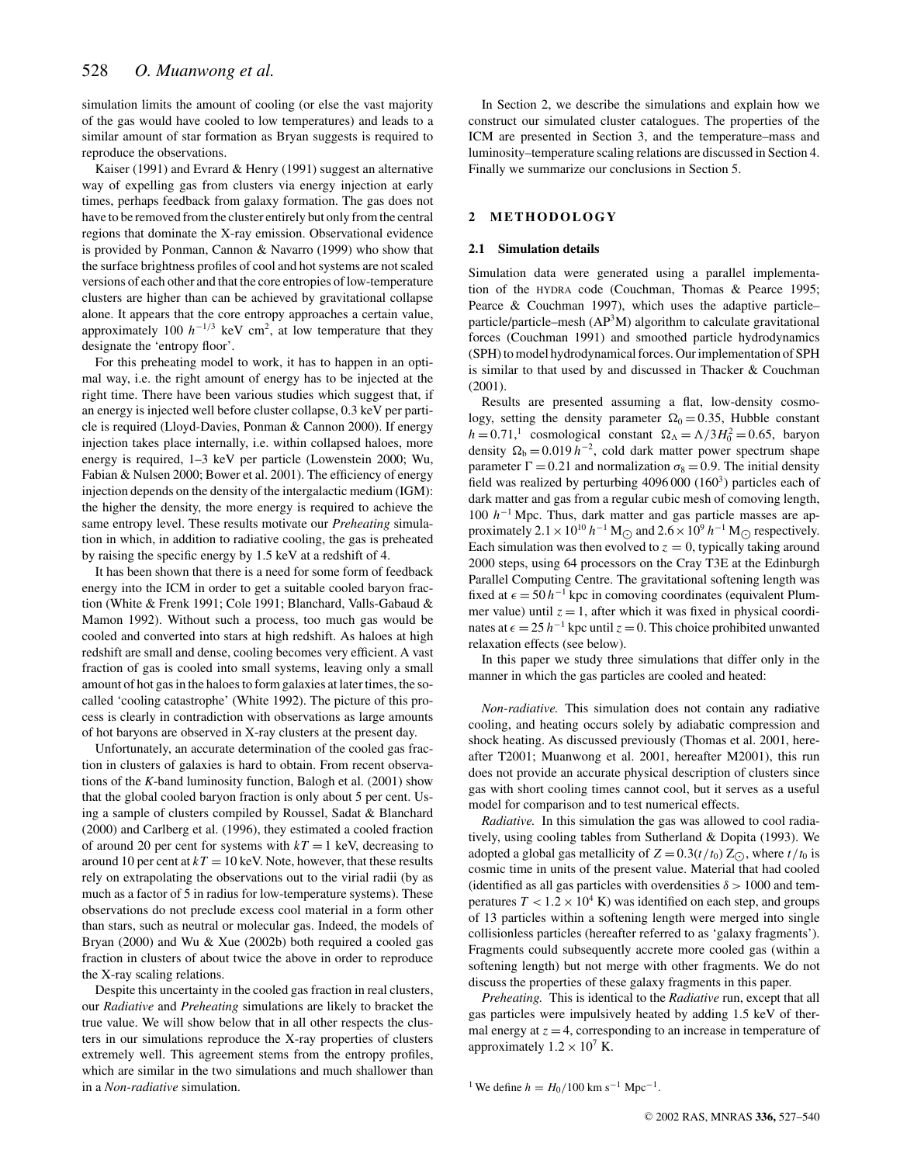simulation limits the amount of cooling (or else the vast majority of the gas would have cooled to low temperatures) and leads to a similar amount of star formation as Bryan suggests is required to reproduce the observations.

Kaiser (1991) and Evrard & Henry (1991) suggest an alternative way of expelling gas from clusters via energy injection at early times, perhaps feedback from galaxy formation. The gas does not have to be removed from the cluster entirely but only from the central regions that dominate the X-ray emission. Observational evidence is provided by Ponman, Cannon & Navarro (1999) who show that the surface brightness profiles of cool and hot systems are not scaled versions of each other and that the core entropies of low-temperature clusters are higher than can be achieved by gravitational collapse alone. It appears that the core entropy approaches a certain value, approximately 100  $h^{-1/3}$  keV cm<sup>2</sup>, at low temperature that they designate the 'entropy floor'.

For this preheating model to work, it has to happen in an optimal way, i.e. the right amount of energy has to be injected at the right time. There have been various studies which suggest that, if an energy is injected well before cluster collapse, 0.3 keV per particle is required (Lloyd-Davies, Ponman & Cannon 2000). If energy injection takes place internally, i.e. within collapsed haloes, more energy is required, 1–3 keV per particle (Lowenstein 2000; Wu, Fabian & Nulsen 2000; Bower et al. 2001). The efficiency of energy injection depends on the density of the intergalactic medium (IGM): the higher the density, the more energy is required to achieve the same entropy level. These results motivate our *Preheating* simulation in which, in addition to radiative cooling, the gas is preheated by raising the specific energy by 1.5 keV at a redshift of 4.

It has been shown that there is a need for some form of feedback energy into the ICM in order to get a suitable cooled baryon fraction (White & Frenk 1991; Cole 1991; Blanchard, Valls-Gabaud & Mamon 1992). Without such a process, too much gas would be cooled and converted into stars at high redshift. As haloes at high redshift are small and dense, cooling becomes very efficient. A vast fraction of gas is cooled into small systems, leaving only a small amount of hot gas in the haloes to form galaxies at later times, the socalled 'cooling catastrophe' (White 1992). The picture of this process is clearly in contradiction with observations as large amounts of hot baryons are observed in X-ray clusters at the present day.

Unfortunately, an accurate determination of the cooled gas fraction in clusters of galaxies is hard to obtain. From recent observations of the *K*-band luminosity function, Balogh et al. (2001) show that the global cooled baryon fraction is only about 5 per cent. Using a sample of clusters compiled by Roussel, Sadat & Blanchard (2000) and Carlberg et al. (1996), they estimated a cooled fraction of around 20 per cent for systems with  $kT = 1$  keV, decreasing to around 10 per cent at  $kT = 10$  keV. Note, however, that these results rely on extrapolating the observations out to the virial radii (by as much as a factor of 5 in radius for low-temperature systems). These observations do not preclude excess cool material in a form other than stars, such as neutral or molecular gas. Indeed, the models of Bryan (2000) and Wu & Xue (2002b) both required a cooled gas fraction in clusters of about twice the above in order to reproduce the X-ray scaling relations.

Despite this uncertainty in the cooled gas fraction in real clusters, our *Radiative* and *Preheating* simulations are likely to bracket the true value. We will show below that in all other respects the clusters in our simulations reproduce the X-ray properties of clusters extremely well. This agreement stems from the entropy profiles, which are similar in the two simulations and much shallower than in a *Non-radiative* simulation.

In Section 2, we describe the simulations and explain how we construct our simulated cluster catalogues. The properties of the ICM are presented in Section 3, and the temperature–mass and luminosity–temperature scaling relations are discussed in Section 4. Finally we summarize our conclusions in Section 5.

## **2 METHODOLOGY**

## **2.1 Simulation details**

Simulation data were generated using a parallel implementation of the HYDRA code (Couchman, Thomas & Pearce 1995; Pearce & Couchman 1997), which uses the adaptive particle– particle/particle–mesh  $(AP<sup>3</sup>M)$  algorithm to calculate gravitational forces (Couchman 1991) and smoothed particle hydrodynamics (SPH) to model hydrodynamical forces. Our implementation of SPH is similar to that used by and discussed in Thacker & Couchman (2001).

Results are presented assuming a flat, low-density cosmology, setting the density parameter  $\Omega_0 = 0.35$ , Hubble constant  $h = 0.71$ <sup>1</sup> cosmological constant  $\Omega_{\Lambda} = \Lambda/3H_0^2 = 0.65$ , baryon density  $\Omega_b = 0.019 h^{-2}$ , cold dark matter power spectrum shape parameter  $\Gamma = 0.21$  and normalization  $\sigma_8 = 0.9$ . The initial density field was realized by perturbing  $4096 000 (160<sup>3</sup>)$  particles each of dark matter and gas from a regular cubic mesh of comoving length, 100 *h*−<sup>1</sup> Mpc. Thus, dark matter and gas particle masses are approximately  $2.1 \times 10^{10}$  *h*<sup>−1</sup> M<sub> $\odot$ </sub> and  $2.6 \times 10^{9}$  *h*<sup>−1</sup> M<sub> $\odot$ </sub> respectively. Each simulation was then evolved to  $z = 0$ , typically taking around 2000 steps, using 64 processors on the Cray T3E at the Edinburgh Parallel Computing Centre. The gravitational softening length was fixed at  $\epsilon = 50 h^{-1}$  kpc in comoving coordinates (equivalent Plummer value) until  $z = 1$ , after which it was fixed in physical coordinates at  $\epsilon = 25 h^{-1}$  kpc until  $z = 0$ . This choice prohibited unwanted relaxation effects (see below).

In this paper we study three simulations that differ only in the manner in which the gas particles are cooled and heated:

*Non-radiative.* This simulation does not contain any radiative cooling, and heating occurs solely by adiabatic compression and shock heating. As discussed previously (Thomas et al. 2001, hereafter T2001; Muanwong et al. 2001, hereafter M2001), this run does not provide an accurate physical description of clusters since gas with short cooling times cannot cool, but it serves as a useful model for comparison and to test numerical effects.

*Radiative.* In this simulation the gas was allowed to cool radiatively, using cooling tables from Sutherland & Dopita (1993). We adopted a global gas metallicity of  $Z = 0.3(t/t_0) Z_{\odot}$ , where  $t/t_0$  is cosmic time in units of the present value. Material that had cooled (identified as all gas particles with overdensities  $\delta > 1000$  and temperatures  $T < 1.2 \times 10^4$  K) was identified on each step, and groups of 13 particles within a softening length were merged into single collisionless particles (hereafter referred to as 'galaxy fragments'). Fragments could subsequently accrete more cooled gas (within a softening length) but not merge with other fragments. We do not discuss the properties of these galaxy fragments in this paper.

*Preheating.* This is identical to the *Radiative* run, except that all gas particles were impulsively heated by adding 1.5 keV of thermal energy at  $z = 4$ , corresponding to an increase in temperature of approximately  $1.2 \times 10^7$  K.

<sup>1</sup> We define  $h = H_0/100$  km s<sup>-1</sup> Mpc<sup>-1</sup>.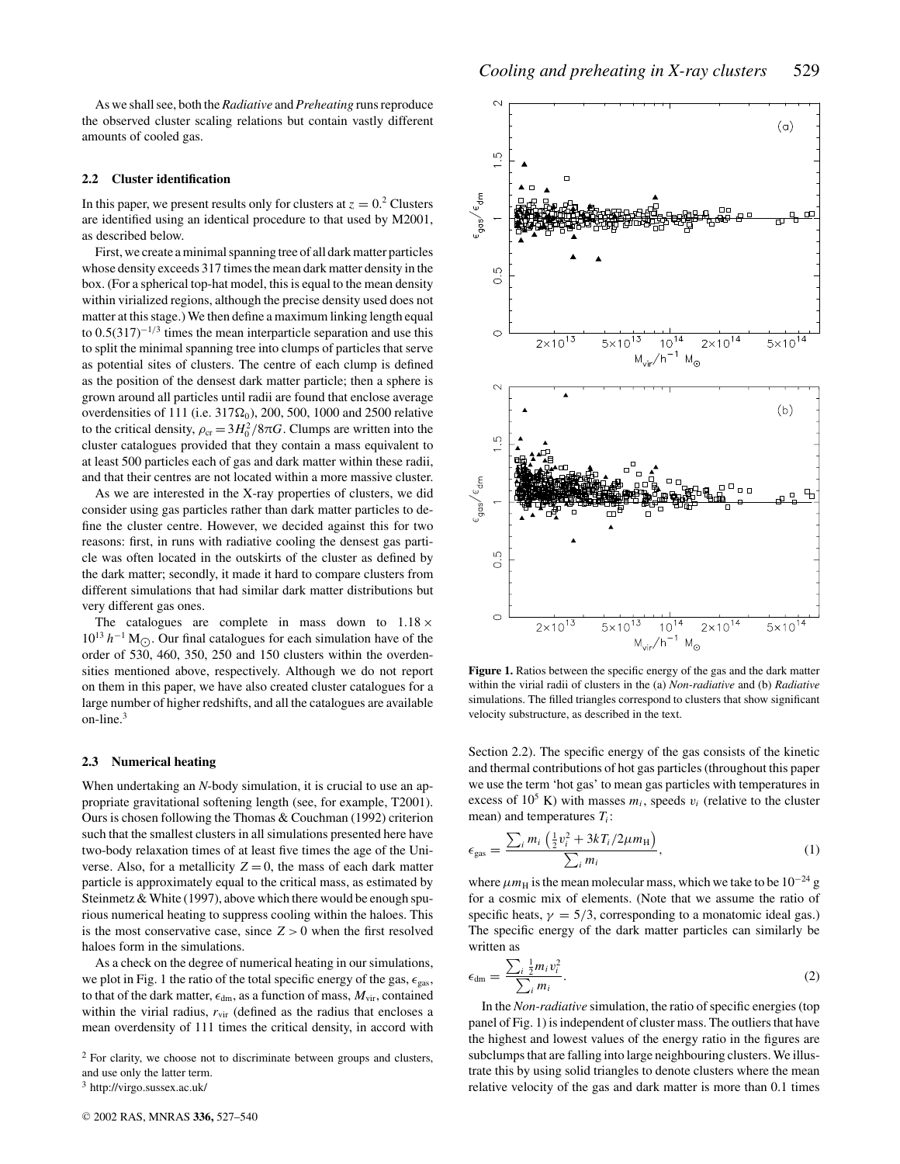As we shall see, both the *Radiative* and *Preheating* runs reproduce the observed cluster scaling relations but contain vastly different amounts of cooled gas.

#### **2.2 Cluster identification**

In this paper, we present results only for clusters at  $z = 0<sup>2</sup>$  Clusters are identified using an identical procedure to that used by M2001, as described below.

First, we create a minimal spanning tree of all dark matter particles whose density exceeds 317 times the mean dark matter density in the box. (For a spherical top-hat model, this is equal to the mean density within virialized regions, although the precise density used does not matter at this stage.) We then define a maximum linking length equal to  $0.5(317)^{-1/3}$  times the mean interparticle separation and use this to split the minimal spanning tree into clumps of particles that serve as potential sites of clusters. The centre of each clump is defined as the position of the densest dark matter particle; then a sphere is grown around all particles until radii are found that enclose average overdensities of 111 (i.e.  $317\Omega_0$ ), 200, 500, 1000 and 2500 relative to the critical density,  $\rho_{cr} = 3H_0^2/8\pi G$ . Clumps are written into the cluster catalogues provided that they contain a mass equivalent to at least 500 particles each of gas and dark matter within these radii, and that their centres are not located within a more massive cluster.

As we are interested in the X-ray properties of clusters, we did consider using gas particles rather than dark matter particles to define the cluster centre. However, we decided against this for two reasons: first, in runs with radiative cooling the densest gas particle was often located in the outskirts of the cluster as defined by the dark matter; secondly, it made it hard to compare clusters from different simulations that had similar dark matter distributions but very different gas ones.

The catalogues are complete in mass down to  $1.18 \times$ 10<sup>13</sup> *h*<sup>−1</sup> M<sub>.</sub>. Our final catalogues for each simulation have of the order of 530, 460, 350, 250 and 150 clusters within the overdensities mentioned above, respectively. Although we do not report on them in this paper, we have also created cluster catalogues for a large number of higher redshifts, and all the catalogues are available on-line. $3$ 

#### **2.3 Numerical heating**

When undertaking an *N*-body simulation, it is crucial to use an appropriate gravitational softening length (see, for example, T2001). Ours is chosen following the Thomas & Couchman (1992) criterion such that the smallest clusters in all simulations presented here have two-body relaxation times of at least five times the age of the Universe. Also, for a metallicity  $Z = 0$ , the mass of each dark matter particle is approximately equal to the critical mass, as estimated by Steinmetz & White (1997), above which there would be enough spurious numerical heating to suppress cooling within the haloes. This is the most conservative case, since  $Z > 0$  when the first resolved haloes form in the simulations.

As a check on the degree of numerical heating in our simulations, we plot in Fig. 1 the ratio of the total specific energy of the gas,  $\epsilon_{\rm gas}$ , to that of the dark matter,  $\epsilon_{dm}$ , as a function of mass,  $M_{vir}$ , contained within the virial radius,  $r_{\text{vir}}$  (defined as the radius that encloses a mean overdensity of 111 times the critical density, in accord with

<sup>2</sup> For clarity, we choose not to discriminate between groups and clusters, and use only the latter term.

<sup>3</sup> http://virgo.sussex.ac.uk/



**Figure 1.** Ratios between the specific energy of the gas and the dark matter within the virial radii of clusters in the (a) *Non-radiative* and (b) *Radiative* simulations. The filled triangles correspond to clusters that show significant velocity substructure, as described in the text.

Section 2.2). The specific energy of the gas consists of the kinetic and thermal contributions of hot gas particles (throughout this paper we use the term 'hot gas' to mean gas particles with temperatures in excess of  $10^5$  K) with masses  $m_i$ , speeds  $v_i$  (relative to the cluster mean) and temperatures  $T_i$ :

$$
\epsilon_{\rm gas} = \frac{\sum_i m_i \left(\frac{1}{2} v_i^2 + 3kT_i/2\mu m_{\rm H}\right)}{\sum_i m_i},\tag{1}
$$

where  $\mu m_\text{H}$  is the mean molecular mass, which we take to be 10<sup>-24</sup> g for a cosmic mix of elements. (Note that we assume the ratio of specific heats,  $\gamma = 5/3$ , corresponding to a monatomic ideal gas.) The specific energy of the dark matter particles can similarly be written as

$$
\epsilon_{\rm dm} = \frac{\sum_{i} \frac{1}{2} m_i v_i^2}{\sum_{i} m_i}.
$$
\n(2)

In the *Non-radiative* simulation, the ratio of specific energies (top panel of Fig. 1) is independent of cluster mass. The outliers that have the highest and lowest values of the energy ratio in the figures are subclumps that are falling into large neighbouring clusters. We illustrate this by using solid triangles to denote clusters where the mean relative velocity of the gas and dark matter is more than 0.1 times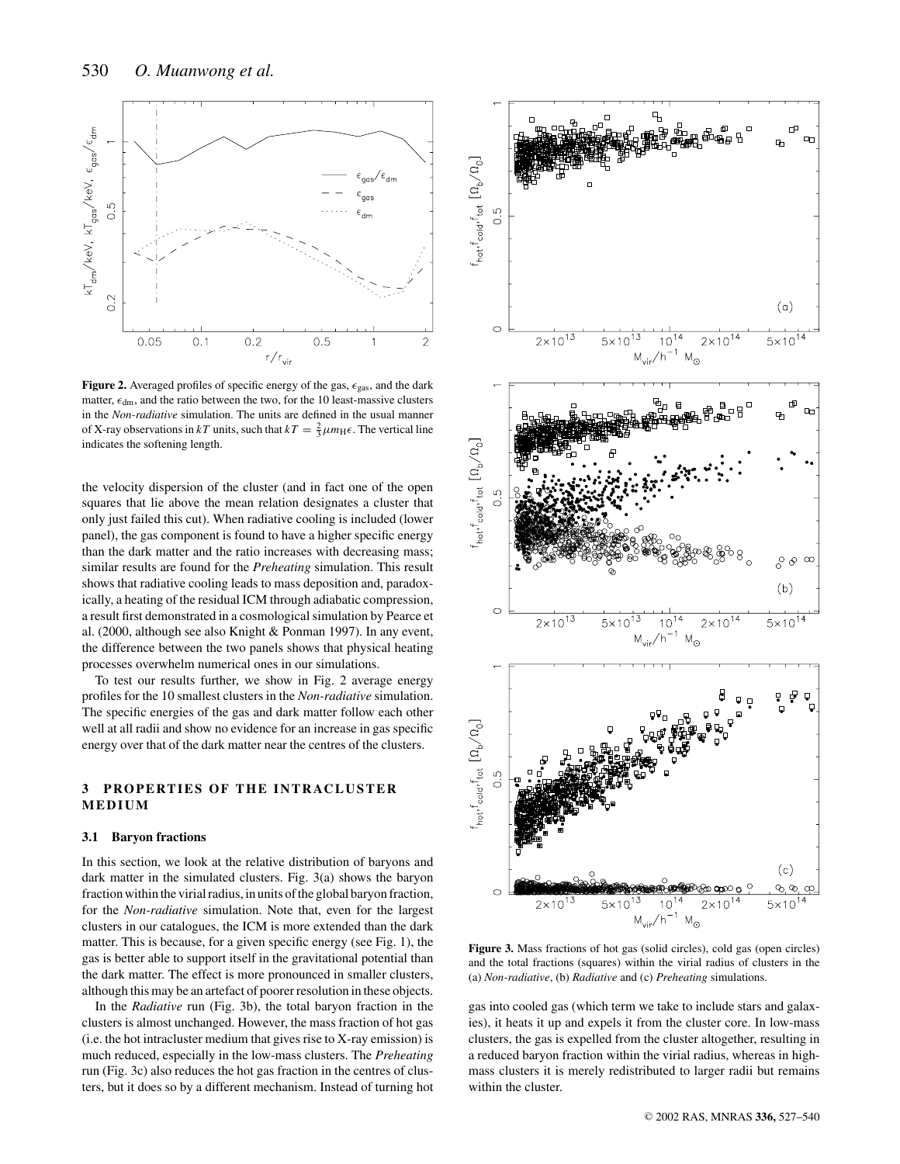

**Figure 2.** Averaged profiles of specific energy of the gas,  $\epsilon_{\text{gas}}$ , and the dark matter,  $\epsilon_{dm}$ , and the ratio between the two, for the 10 least-massive clusters in the *Non-radiative* simulation. The units are defined in the usual manner of X-ray observations in *kT* units, such that  $kT = \frac{2}{3}\mu m_{\text{H}}\epsilon$ . The vertical line indicates the softening length.

the velocity dispersion of the cluster (and in fact one of the open squares that lie above the mean relation designates a cluster that only just failed this cut). When radiative cooling is included (lower panel), the gas component is found to have a higher specific energy than the dark matter and the ratio increases with decreasing mass; similar results are found for the *Preheating* simulation. This result shows that radiative cooling leads to mass deposition and, paradoxically, a heating of the residual ICM through adiabatic compression, a result first demonstrated in a cosmological simulation by Pearce et al. (2000, although see also Knight & Ponman 1997). In any event, the difference between the two panels shows that physical heating processes overwhelm numerical ones in our simulations.

To test our results further, we show in Fig. 2 average energy profiles for the 10 smallest clusters in the *Non-radiative* simulation. The specific energies of the gas and dark matter follow each other well at all radii and show no evidence for an increase in gas specific energy over that of the dark matter near the centres of the clusters.

## **3 PROPERTIES OF THE INTRACLUSTER MEDIUM**

#### **3.1 Baryon fractions**

In this section, we look at the relative distribution of baryons and dark matter in the simulated clusters. Fig. 3(a) shows the baryon fraction within the virial radius, in units of the global baryon fraction, for the *Non-radiative* simulation. Note that, even for the largest clusters in our catalogues, the ICM is more extended than the dark matter. This is because, for a given specific energy (see Fig. 1), the gas is better able to support itself in the gravitational potential than the dark matter. The effect is more pronounced in smaller clusters, although this may be an artefact of poorer resolution in these objects.

In the *Radiative* run (Fig. 3b), the total baryon fraction in the clusters is almost unchanged. However, the mass fraction of hot gas (i.e. the hot intracluster medium that gives rise to X-ray emission) is much reduced, especially in the low-mass clusters. The *Preheating* run (Fig. 3c) also reduces the hot gas fraction in the centres of clusters, but it does so by a different mechanism. Instead of turning hot



**Figure 3.** Mass fractions of hot gas (solid circles), cold gas (open circles) and the total fractions (squares) within the virial radius of clusters in the (a) *Non-radiative*, (b) *Radiative* and (c) *Preheating* simulations.

gas into cooled gas (which term we take to include stars and galaxies), it heats it up and expels it from the cluster core. In low-mass clusters, the gas is expelled from the cluster altogether, resulting in a reduced baryon fraction within the virial radius, whereas in highmass clusters it is merely redistributed to larger radii but remains within the cluster.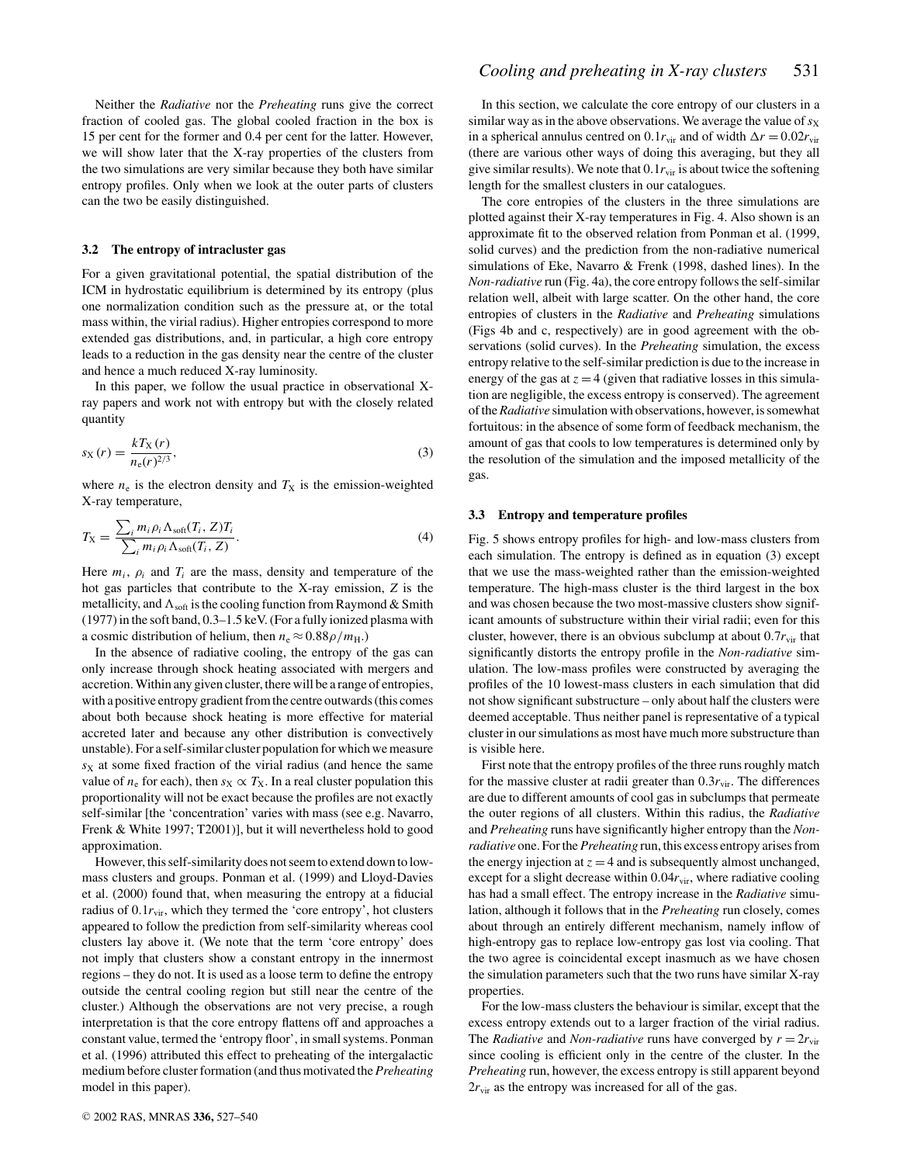Neither the *Radiative* nor the *Preheating* runs give the correct fraction of cooled gas. The global cooled fraction in the box is 15 per cent for the former and 0.4 per cent for the latter. However, we will show later that the X-ray properties of the clusters from the two simulations are very similar because they both have similar entropy profiles. Only when we look at the outer parts of clusters can the two be easily distinguished.

## **3.2 The entropy of intracluster gas**

For a given gravitational potential, the spatial distribution of the ICM in hydrostatic equilibrium is determined by its entropy (plus one normalization condition such as the pressure at, or the total mass within, the virial radius). Higher entropies correspond to more extended gas distributions, and, in particular, a high core entropy leads to a reduction in the gas density near the centre of the cluster and hence a much reduced X-ray luminosity.

In this paper, we follow the usual practice in observational Xray papers and work not with entropy but with the closely related quantity

$$
s_X(r) = \frac{kT_X(r)}{n_e(r)^{2/3}},
$$
\n(3)

where  $n_e$  is the electron density and  $T_X$  is the emission-weighted X-ray temperature,

$$
T_X = \frac{\sum_i m_i \rho_i \Lambda_{\text{soft}}(T_i, Z) T_i}{\sum_i m_i \rho_i \Lambda_{\text{soft}}(T_i, Z)}.
$$
\n(4)

Here  $m_i$ ,  $\rho_i$  and  $T_i$  are the mass, density and temperature of the hot gas particles that contribute to the X-ray emission, *Z* is the metallicity, and  $\Lambda_{\text{soft}}$  is the cooling function from Raymond & Smith (1977) in the soft band, 0.3–1.5 keV. (For a fully ionized plasma with a cosmic distribution of helium, then  $n_e \approx 0.88 \rho/m_H$ .)

In the absence of radiative cooling, the entropy of the gas can only increase through shock heating associated with mergers and accretion. Within any given cluster, there will be a range of entropies, with a positive entropy gradient from the centre outwards (this comes about both because shock heating is more effective for material accreted later and because any other distribution is convectively unstable). For a self-similar cluster population for which we measure *s*<sup>X</sup> at some fixed fraction of the virial radius (and hence the same value of  $n_e$  for each), then  $s_X \propto T_X$ . In a real cluster population this proportionality will not be exact because the profiles are not exactly self-similar [the 'concentration' varies with mass (see e.g. Navarro, Frenk & White 1997; T2001)], but it will nevertheless hold to good approximation.

However, this self-similarity does not seem to extend down to lowmass clusters and groups. Ponman et al. (1999) and Lloyd-Davies et al. (2000) found that, when measuring the entropy at a fiducial radius of  $0.1r_{\text{vir}}$ , which they termed the 'core entropy', hot clusters appeared to follow the prediction from self-similarity whereas cool clusters lay above it. (We note that the term 'core entropy' does not imply that clusters show a constant entropy in the innermost regions – they do not. It is used as a loose term to define the entropy outside the central cooling region but still near the centre of the cluster.) Although the observations are not very precise, a rough interpretation is that the core entropy flattens off and approaches a constant value, termed the 'entropy floor', in small systems. Ponman et al. (1996) attributed this effect to preheating of the intergalactic medium before cluster formation (and thus motivated the*Preheating* model in this paper).

In this section, we calculate the core entropy of our clusters in a similar way as in the above observations. We average the value of  $s<sub>X</sub>$ in a spherical annulus centred on  $0.1r_{\text{vir}}$  and of width  $\Delta r = 0.02r_{\text{vir}}$ (there are various other ways of doing this averaging, but they all give similar results). We note that  $0.1r_{\text{vir}}$  is about twice the softening length for the smallest clusters in our catalogues.

The core entropies of the clusters in the three simulations are plotted against their X-ray temperatures in Fig. 4. Also shown is an approximate fit to the observed relation from Ponman et al. (1999, solid curves) and the prediction from the non-radiative numerical simulations of Eke, Navarro & Frenk (1998, dashed lines). In the *Non-radiative* run (Fig. 4a), the core entropy follows the self-similar relation well, albeit with large scatter. On the other hand, the core entropies of clusters in the *Radiative* and *Preheating* simulations (Figs 4b and c, respectively) are in good agreement with the observations (solid curves). In the *Preheating* simulation, the excess entropy relative to the self-similar prediction is due to the increase in energy of the gas at  $z = 4$  (given that radiative losses in this simulation are negligible, the excess entropy is conserved). The agreement of the*Radiative* simulation with observations, however, is somewhat fortuitous: in the absence of some form of feedback mechanism, the amount of gas that cools to low temperatures is determined only by the resolution of the simulation and the imposed metallicity of the gas.

#### **3.3 Entropy and temperature profiles**

Fig. 5 shows entropy profiles for high- and low-mass clusters from each simulation. The entropy is defined as in equation (3) except that we use the mass-weighted rather than the emission-weighted temperature. The high-mass cluster is the third largest in the box and was chosen because the two most-massive clusters show significant amounts of substructure within their virial radii; even for this cluster, however, there is an obvious subclump at about  $0.7r_{\text{vir}}$  that significantly distorts the entropy profile in the *Non-radiative* simulation. The low-mass profiles were constructed by averaging the profiles of the 10 lowest-mass clusters in each simulation that did not show significant substructure – only about half the clusters were deemed acceptable. Thus neither panel is representative of a typical cluster in our simulations as most have much more substructure than is visible here.

First note that the entropy profiles of the three runs roughly match for the massive cluster at radii greater than  $0.3r_{\text{vir}}$ . The differences are due to different amounts of cool gas in subclumps that permeate the outer regions of all clusters. Within this radius, the *Radiative* and *Preheating* runs have significantly higher entropy than the *Nonradiative* one. For the*Preheating* run, this excess entropy arises from the energy injection at  $z = 4$  and is subsequently almost unchanged, except for a slight decrease within  $0.04r_{\text{vir}}$ , where radiative cooling has had a small effect. The entropy increase in the *Radiative* simulation, although it follows that in the *Preheating* run closely, comes about through an entirely different mechanism, namely inflow of high-entropy gas to replace low-entropy gas lost via cooling. That the two agree is coincidental except inasmuch as we have chosen the simulation parameters such that the two runs have similar X-ray properties.

For the low-mass clusters the behaviour is similar, except that the excess entropy extends out to a larger fraction of the virial radius. The *Radiative* and *Non-radiative* runs have converged by  $r = 2r_{\text{vir}}$ since cooling is efficient only in the centre of the cluster. In the *Preheating* run, however, the excess entropy is still apparent beyond  $2r_{\text{vir}}$  as the entropy was increased for all of the gas.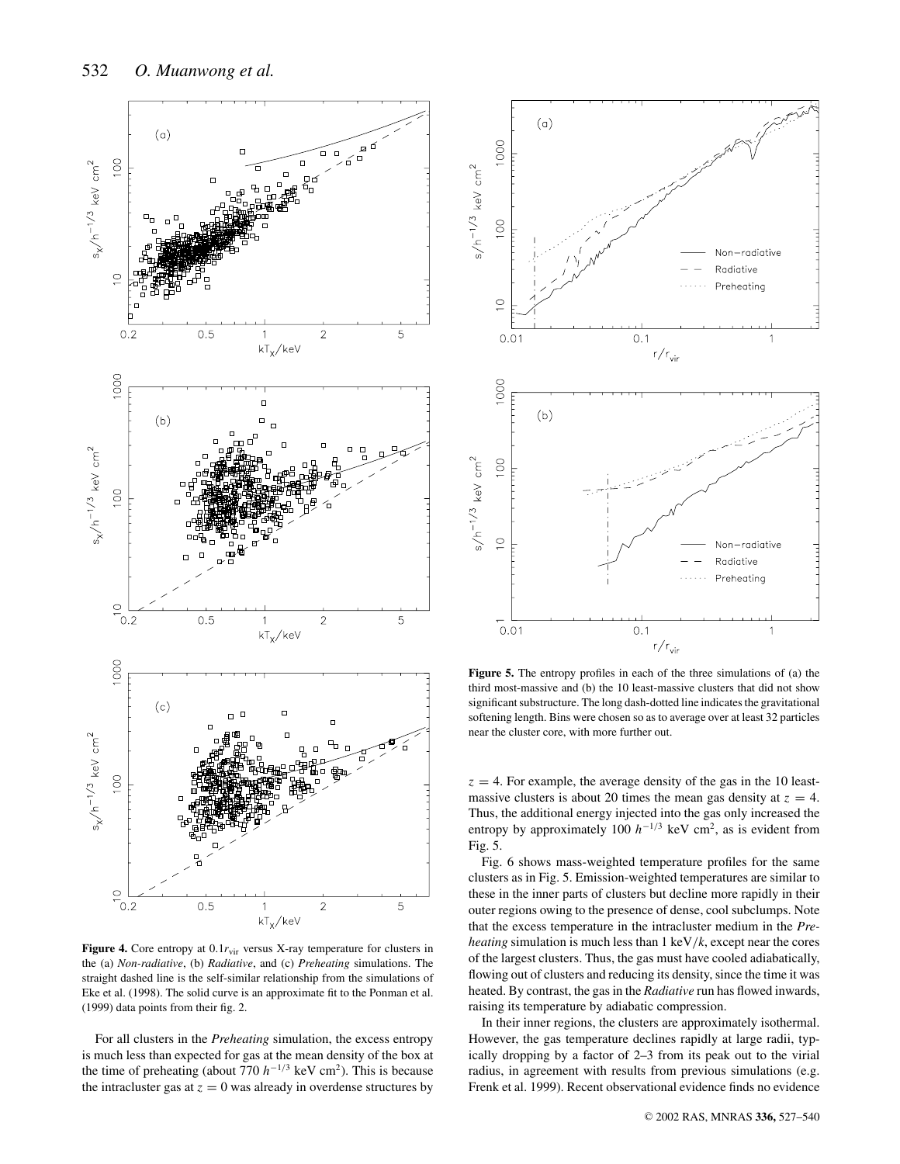

Figure 4. Core entropy at  $0.1r_{\text{vir}}$  versus X-ray temperature for clusters in the (a) *Non-radiative*, (b) *Radiative*, and (c) *Preheating* simulations. The straight dashed line is the self-similar relationship from the simulations of Eke et al. (1998). The solid curve is an approximate fit to the Ponman et al. (1999) data points from their fig. 2.

For all clusters in the *Preheating* simulation, the excess entropy is much less than expected for gas at the mean density of the box at the time of preheating (about 770  $h^{-1/3}$  keV cm<sup>2</sup>). This is because the intracluster gas at  $z = 0$  was already in overdense structures by



**Figure 5.** The entropy profiles in each of the three simulations of (a) the third most-massive and (b) the 10 least-massive clusters that did not show significant substructure. The long dash-dotted line indicates the gravitational softening length. Bins were chosen so as to average over at least 32 particles near the cluster core, with more further out.

 $z = 4$ . For example, the average density of the gas in the 10 leastmassive clusters is about 20 times the mean gas density at  $z = 4$ . Thus, the additional energy injected into the gas only increased the entropy by approximately 100  $h^{-1/3}$  keV cm<sup>2</sup>, as is evident from Fig. 5.

Fig. 6 shows mass-weighted temperature profiles for the same clusters as in Fig. 5. Emission-weighted temperatures are similar to these in the inner parts of clusters but decline more rapidly in their outer regions owing to the presence of dense, cool subclumps. Note that the excess temperature in the intracluster medium in the *Preheating* simulation is much less than 1 keV/*k*, except near the cores of the largest clusters. Thus, the gas must have cooled adiabatically, flowing out of clusters and reducing its density, since the time it was heated. By contrast, the gas in the *Radiative* run has flowed inwards, raising its temperature by adiabatic compression.

In their inner regions, the clusters are approximately isothermal. However, the gas temperature declines rapidly at large radii, typically dropping by a factor of 2–3 from its peak out to the virial radius, in agreement with results from previous simulations (e.g. Frenk et al. 1999). Recent observational evidence finds no evidence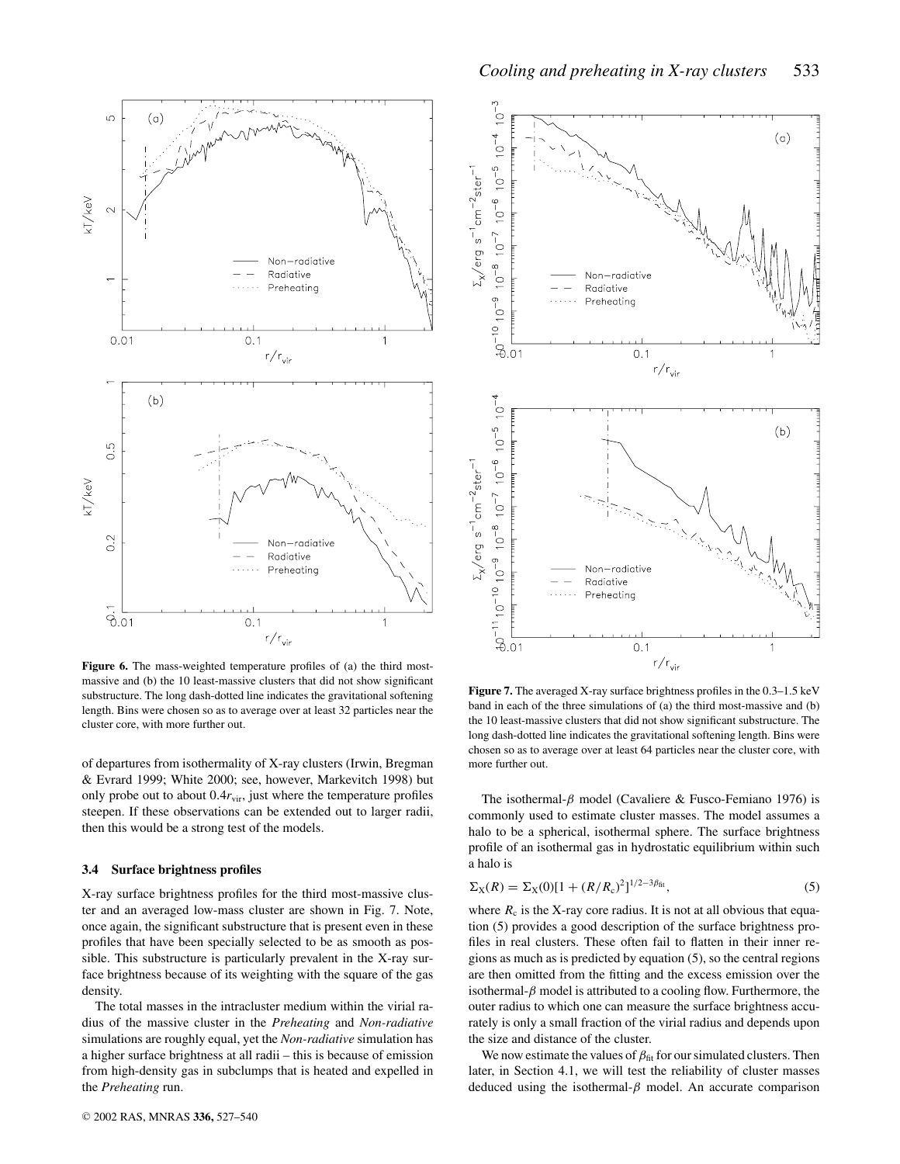

**Figure 6.** The mass-weighted temperature profiles of (a) the third mostmassive and (b) the 10 least-massive clusters that did not show significant substructure. The long dash-dotted line indicates the gravitational softening length. Bins were chosen so as to average over at least 32 particles near the cluster core, with more further out.

of departures from isothermality of X-ray clusters (Irwin, Bregman & Evrard 1999; White 2000; see, however, Markevitch 1998) but only probe out to about  $0.4r_{\text{vir}}$ , just where the temperature profiles steepen. If these observations can be extended out to larger radii, then this would be a strong test of the models.

## **3.4 Surface brightness profiles**

X-ray surface brightness profiles for the third most-massive cluster and an averaged low-mass cluster are shown in Fig. 7. Note, once again, the significant substructure that is present even in these profiles that have been specially selected to be as smooth as possible. This substructure is particularly prevalent in the X-ray surface brightness because of its weighting with the square of the gas density.

The total masses in the intracluster medium within the virial radius of the massive cluster in the *Preheating* and *Non-radiative* simulations are roughly equal, yet the *Non-radiative* simulation has a higher surface brightness at all radii – this is because of emission from high-density gas in subclumps that is heated and expelled in the *Preheating* run.



**Figure 7.** The averaged X-ray surface brightness profiles in the 0.3–1.5 keV band in each of the three simulations of (a) the third most-massive and (b) the 10 least-massive clusters that did not show significant substructure. The long dash-dotted line indicates the gravitational softening length. Bins were chosen so as to average over at least 64 particles near the cluster core, with more further out.

The isothermal- $\beta$  model (Cavaliere & Fusco-Femiano 1976) is commonly used to estimate cluster masses. The model assumes a halo to be a spherical, isothermal sphere. The surface brightness profile of an isothermal gas in hydrostatic equilibrium within such a halo is

$$
\Sigma_X(R) = \Sigma_X(0)[1 + (R/R_c)^2]^{1/2 - 3\beta_{\text{fit}}},\tag{5}
$$

where  $R_c$  is the X-ray core radius. It is not at all obvious that equation (5) provides a good description of the surface brightness profiles in real clusters. These often fail to flatten in their inner regions as much as is predicted by equation (5), so the central regions are then omitted from the fitting and the excess emission over the isothermal- $\beta$  model is attributed to a cooling flow. Furthermore, the outer radius to which one can measure the surface brightness accurately is only a small fraction of the virial radius and depends upon the size and distance of the cluster.

We now estimate the values of  $\beta_{\text{fit}}$  for our simulated clusters. Then later, in Section 4.1, we will test the reliability of cluster masses deduced using the isothermal- $\beta$  model. An accurate comparison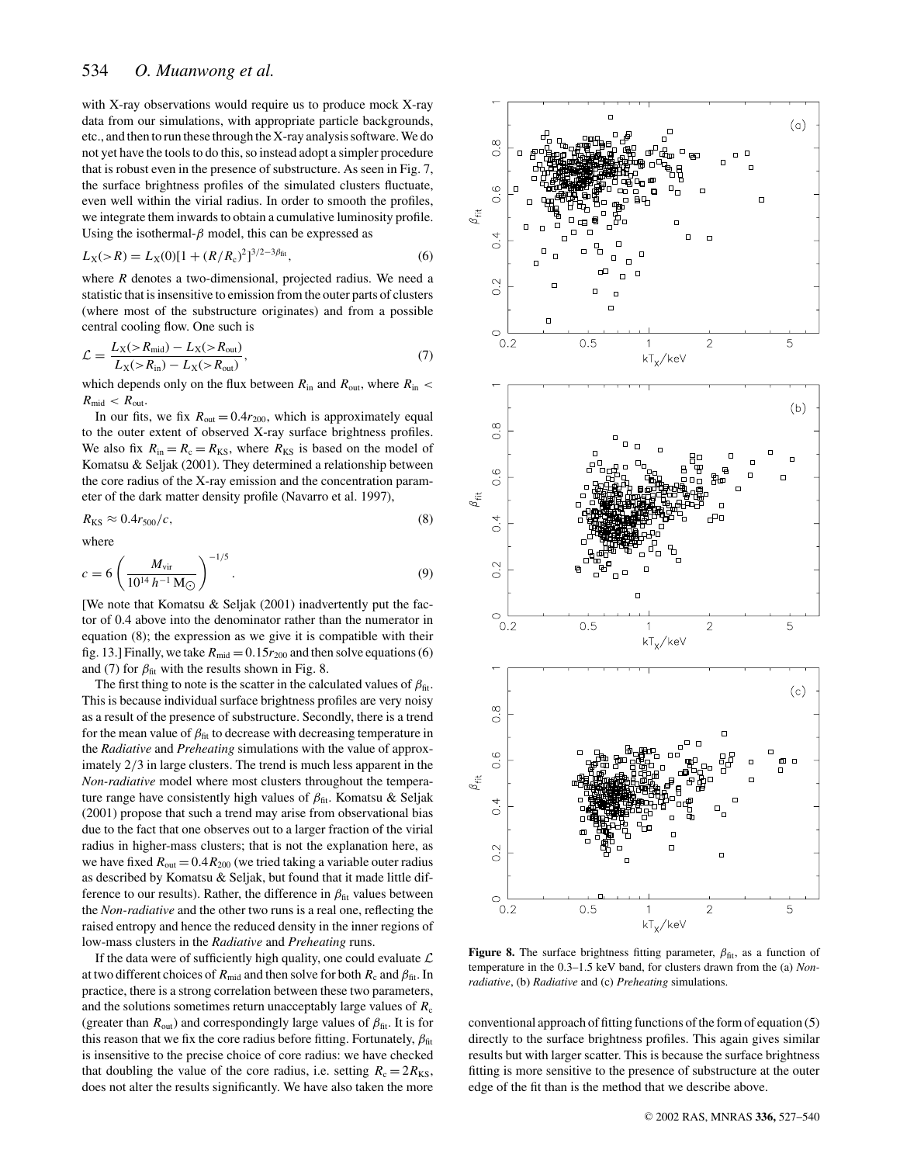with X-ray observations would require us to produce mock X-ray data from our simulations, with appropriate particle backgrounds, etc., and then to run these through the X-ray analysis software. We do not yet have the tools to do this, so instead adopt a simpler procedure that is robust even in the presence of substructure. As seen in Fig. 7, the surface brightness profiles of the simulated clusters fluctuate, even well within the virial radius. In order to smooth the profiles, we integrate them inwards to obtain a cumulative luminosity profile. Using the isothermal- $\beta$  model, this can be expressed as

$$
L_X(>R) = L_X(0)[1 + (R/R_c)^2]^{3/2 - 3\beta_{\text{fit}}},\tag{6}
$$

where *R* denotes a two-dimensional, projected radius. We need a statistic that is insensitive to emission from the outer parts of clusters (where most of the substructure originates) and from a possible central cooling flow. One such is

$$
\mathcal{L} = \frac{L_X(>R_{\text{mid}}) - L_X(>R_{\text{out}})}{L_X(>R_{\text{in}}) - L_X(>R_{\text{out}})},\tag{7}
$$

which depends only on the flux between  $R_{\text{in}}$  and  $R_{\text{out}}$ , where  $R_{\text{in}}$  $R_{\text{mid}} < R_{\text{out}}$ .

In our fits, we fix  $R_{\text{out}} = 0.4r_{200}$ , which is approximately equal to the outer extent of observed X-ray surface brightness profiles. We also fix  $R_{\text{in}} = R_{\text{c}} = R_{\text{KS}}$ , where  $R_{\text{KS}}$  is based on the model of Komatsu & Seljak (2001). They determined a relationship between the core radius of the X-ray emission and the concentration parameter of the dark matter density profile (Navarro et al. 1997),

$$
R_{\rm KS} \approx 0.4r_{500}/c,\tag{8}
$$

where

$$
c = 6 \left( \frac{M_{\rm vir}}{10^{14} \, h^{-1} \, \text{M}_{\odot}} \right)^{-1/5} . \tag{9}
$$

[We note that Komatsu & Seljak (2001) inadvertently put the factor of 0.4 above into the denominator rather than the numerator in equation (8); the expression as we give it is compatible with their fig. 13.] Finally, we take  $R_{mid} = 0.15r_{200}$  and then solve equations (6) and (7) for  $\beta_{\text{fit}}$  with the results shown in Fig. 8.

The first thing to note is the scatter in the calculated values of  $\beta_{\text{fit}}$ . This is because individual surface brightness profiles are very noisy as a result of the presence of substructure. Secondly, there is a trend for the mean value of  $\beta_{\text{fit}}$  to decrease with decreasing temperature in the *Radiative* and *Preheating* simulations with the value of approximately 2/3 in large clusters. The trend is much less apparent in the *Non-radiative* model where most clusters throughout the temperature range have consistently high values of  $\beta_{\text{fit}}$ . Komatsu & Seljak (2001) propose that such a trend may arise from observational bias due to the fact that one observes out to a larger fraction of the virial radius in higher-mass clusters; that is not the explanation here, as we have fixed  $R_{\text{out}} = 0.4 R_{200}$  (we tried taking a variable outer radius as described by Komatsu & Seljak, but found that it made little difference to our results). Rather, the difference in  $\beta_{\text{fit}}$  values between the *Non-radiative* and the other two runs is a real one, reflecting the raised entropy and hence the reduced density in the inner regions of low-mass clusters in the *Radiative* and *Preheating* runs.

If the data were of sufficiently high quality, one could evaluate  $\mathcal L$ at two different choices of  $R_{mid}$  and then solve for both  $R_c$  and  $\beta_{fit}$ . In practice, there is a strong correlation between these two parameters, and the solutions sometimes return unacceptably large values of  $R_c$ (greater than  $R_{\text{out}}$ ) and correspondingly large values of  $\beta_{\text{fit}}$ . It is for this reason that we fix the core radius before fitting. Fortunately,  $\beta_{\text{fit}}$ is insensitive to the precise choice of core radius: we have checked that doubling the value of the core radius, i.e. setting  $R_c = 2R_{KS}$ , does not alter the results significantly. We have also taken the more



**Figure 8.** The surface brightness fitting parameter,  $\beta_{\text{fit}}$ , as a function of temperature in the 0.3–1.5 keV band, for clusters drawn from the (a) *Nonradiative*, (b) *Radiative* and (c) *Preheating* simulations.

conventional approach of fitting functions of the form of equation (5) directly to the surface brightness profiles. This again gives similar results but with larger scatter. This is because the surface brightness fitting is more sensitive to the presence of substructure at the outer edge of the fit than is the method that we describe above.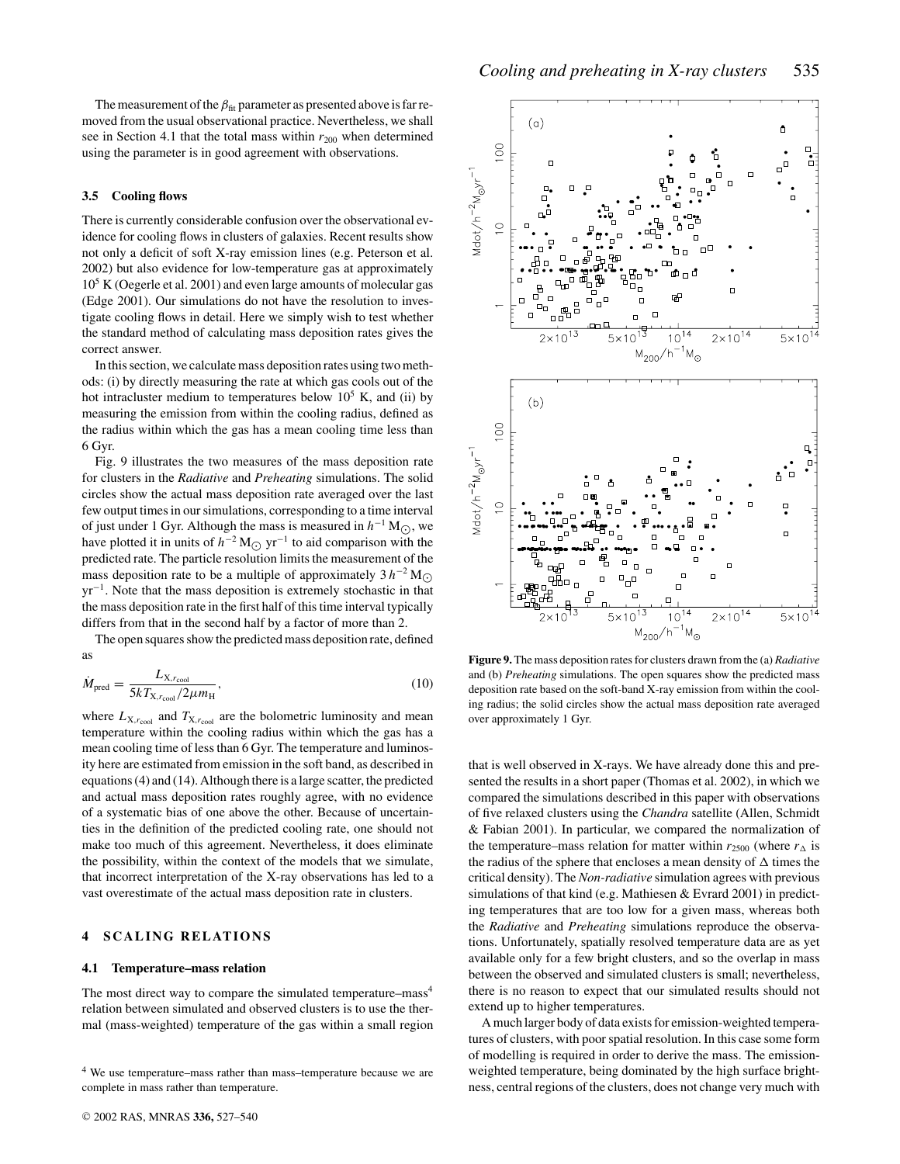The measurement of the  $\beta_{\text{fit}}$  parameter as presented above is far removed from the usual observational practice. Nevertheless, we shall see in Section 4.1 that the total mass within  $r_{200}$  when determined using the parameter is in good agreement with observations.

## **3.5 Cooling flows**

There is currently considerable confusion over the observational evidence for cooling flows in clusters of galaxies. Recent results show not only a deficit of soft X-ray emission lines (e.g. Peterson et al. 2002) but also evidence for low-temperature gas at approximately  $10<sup>5</sup>$  K (Oegerle et al. 2001) and even large amounts of molecular gas (Edge 2001). Our simulations do not have the resolution to investigate cooling flows in detail. Here we simply wish to test whether the standard method of calculating mass deposition rates gives the correct answer.

In this section, we calculate mass deposition rates using two methods: (i) by directly measuring the rate at which gas cools out of the hot intracluster medium to temperatures below  $10^5$  K, and (ii) by measuring the emission from within the cooling radius, defined as the radius within which the gas has a mean cooling time less than 6 Gyr.

Fig. 9 illustrates the two measures of the mass deposition rate for clusters in the *Radiative* and *Preheating* simulations. The solid circles show the actual mass deposition rate averaged over the last few output times in our simulations, corresponding to a time interval of just under 1 Gyr. Although the mass is measured in  $h^{-1}$  M<sub>○</sub>, we have plotted it in units of  $h^{-2} M_{\odot}$  yr<sup>−1</sup> to aid comparison with the predicted rate. The particle resolution limits the measurement of the mass deposition rate to be a multiple of approximately  $3 h^{-2} M_{\odot}$ yr−1. Note that the mass deposition is extremely stochastic in that the mass deposition rate in the first half of this time interval typically differs from that in the second half by a factor of more than 2.

The open squares show the predicted mass deposition rate, defined as

$$
\dot{M}_{\text{pred}} = \frac{L_{\text{X},r_{\text{cool}}}}{5kT_{\text{X},r_{\text{cool}}}/2\mu m_{\text{H}}},\tag{10}
$$

where  $L_{X,r_{\text{cool}}}$  and  $T_{X,r_{\text{cool}}}$  are the bolometric luminosity and mean temperature within the cooling radius within which the gas has a mean cooling time of less than 6 Gyr. The temperature and luminosity here are estimated from emission in the soft band, as described in equations (4) and (14). Although there is a large scatter, the predicted and actual mass deposition rates roughly agree, with no evidence of a systematic bias of one above the other. Because of uncertainties in the definition of the predicted cooling rate, one should not make too much of this agreement. Nevertheless, it does eliminate the possibility, within the context of the models that we simulate, that incorrect interpretation of the X-ray observations has led to a vast overestimate of the actual mass deposition rate in clusters.

## **4 SCALING RELATIONS**

#### **4.1 Temperature–mass relation**

The most direct way to compare the simulated temperature–mass<sup>4</sup> relation between simulated and observed clusters is to use the thermal (mass-weighted) temperature of the gas within a small region

<sup>4</sup> We use temperature–mass rather than mass–temperature because we are complete in mass rather than temperature.



**Figure 9.** The mass deposition rates for clusters drawn from the (a) *Radiative* and (b) *Preheating* simulations. The open squares show the predicted mass deposition rate based on the soft-band X-ray emission from within the cooling radius; the solid circles show the actual mass deposition rate averaged over approximately 1 Gyr.

that is well observed in X-rays. We have already done this and presented the results in a short paper (Thomas et al. 2002), in which we compared the simulations described in this paper with observations of five relaxed clusters using the *Chandra* satellite (Allen, Schmidt & Fabian 2001). In particular, we compared the normalization of the temperature–mass relation for matter within  $r_{2500}$  (where  $r_{\Delta}$  is the radius of the sphere that encloses a mean density of  $\Delta$  times the critical density). The *Non-radiative* simulation agrees with previous simulations of that kind (e.g. Mathiesen & Evrard 2001) in predicting temperatures that are too low for a given mass, whereas both the *Radiative* and *Preheating* simulations reproduce the observations. Unfortunately, spatially resolved temperature data are as yet available only for a few bright clusters, and so the overlap in mass between the observed and simulated clusters is small; nevertheless, there is no reason to expect that our simulated results should not extend up to higher temperatures.

A much larger body of data exists for emission-weighted temperatures of clusters, with poor spatial resolution. In this case some form of modelling is required in order to derive the mass. The emissionweighted temperature, being dominated by the high surface brightness, central regions of the clusters, does not change very much with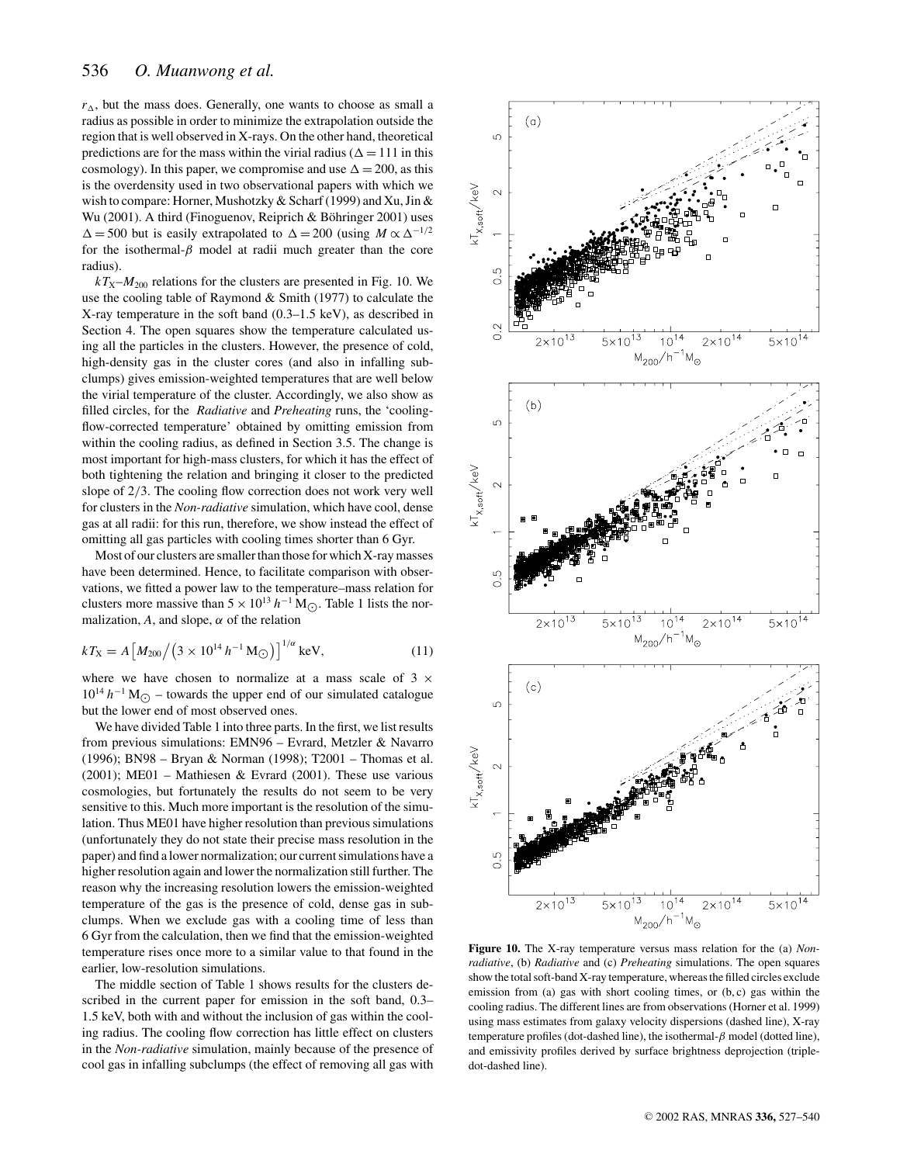$r_{\Delta}$ , but the mass does. Generally, one wants to choose as small a radius as possible in order to minimize the extrapolation outside the region that is well observed in X-rays. On the other hand, theoretical predictions are for the mass within the virial radius ( $\Delta = 111$  in this cosmology). In this paper, we compromise and use  $\Delta = 200$ , as this is the overdensity used in two observational papers with which we wish to compare: Horner, Mushotzky & Scharf (1999) and Xu, Jin & Wu (2001). A third (Finoguenov, Reiprich & Böhringer 2001) uses  $\Delta = 500$  but is easily extrapolated to  $\Delta = 200$  (using  $M \propto \Delta^{-1/2}$ for the isothermal- $\beta$  model at radii much greater than the core radius).

 $kT_{\text{X}}-M_{200}$  relations for the clusters are presented in Fig. 10. We use the cooling table of Raymond & Smith (1977) to calculate the X-ray temperature in the soft band (0.3–1.5 keV), as described in Section 4. The open squares show the temperature calculated using all the particles in the clusters. However, the presence of cold, high-density gas in the cluster cores (and also in infalling subclumps) gives emission-weighted temperatures that are well below the virial temperature of the cluster. Accordingly, we also show as filled circles, for the *Radiative* and *Preheating* runs, the 'coolingflow-corrected temperature' obtained by omitting emission from within the cooling radius, as defined in Section 3.5. The change is most important for high-mass clusters, for which it has the effect of both tightening the relation and bringing it closer to the predicted slope of 2/3. The cooling flow correction does not work very well for clusters in the *Non-radiative* simulation, which have cool, dense gas at all radii: for this run, therefore, we show instead the effect of omitting all gas particles with cooling times shorter than 6 Gyr.

Most of our clusters are smaller than those for which X-ray masses have been determined. Hence, to facilitate comparison with observations, we fitted a power law to the temperature–mass relation for clusters more massive than  $5 \times 10^{13} h^{-1} M_{\odot}$ . Table 1 lists the normalization,  $A$ , and slope,  $\alpha$  of the relation

$$
kT_{\rm X} = A \left[ M_{200} / \left( 3 \times 10^{14} \, h^{-1} \, \text{M}_{\odot} \right) \right]^{1/\alpha} \, \text{keV},\tag{11}
$$

where we have chosen to normalize at a mass scale of  $3 \times$  $10^{14} h^{-1} M_{\odot}$  – towards the upper end of our simulated catalogue but the lower end of most observed ones.

We have divided Table 1 into three parts. In the first, we list results from previous simulations: EMN96 – Evrard, Metzler & Navarro (1996); BN98 – Bryan & Norman (1998); T2001 – Thomas et al. (2001); ME01 – Mathiesen & Evrard (2001). These use various cosmologies, but fortunately the results do not seem to be very sensitive to this. Much more important is the resolution of the simulation. Thus ME01 have higher resolution than previous simulations (unfortunately they do not state their precise mass resolution in the paper) and find a lower normalization; our current simulations have a higher resolution again and lower the normalization still further. The reason why the increasing resolution lowers the emission-weighted temperature of the gas is the presence of cold, dense gas in subclumps. When we exclude gas with a cooling time of less than 6 Gyr from the calculation, then we find that the emission-weighted temperature rises once more to a similar value to that found in the earlier, low-resolution simulations.

The middle section of Table 1 shows results for the clusters described in the current paper for emission in the soft band, 0.3– 1.5 keV, both with and without the inclusion of gas within the cooling radius. The cooling flow correction has little effect on clusters in the *Non-radiative* simulation, mainly because of the presence of cool gas in infalling subclumps (the effect of removing all gas with



**Figure 10.** The X-ray temperature versus mass relation for the (a) *Nonradiative*, (b) *Radiative* and (c) *Preheating* simulations. The open squares show the total soft-band X-ray temperature, whereas the filled circles exclude emission from (a) gas with short cooling times, or  $(b, c)$  gas within the cooling radius. The different lines are from observations (Horner et al. 1999) using mass estimates from galaxy velocity dispersions (dashed line), X-ray temperature profiles (dot-dashed line), the isothermal- $β$  model (dotted line), and emissivity profiles derived by surface brightness deprojection (tripledot-dashed line).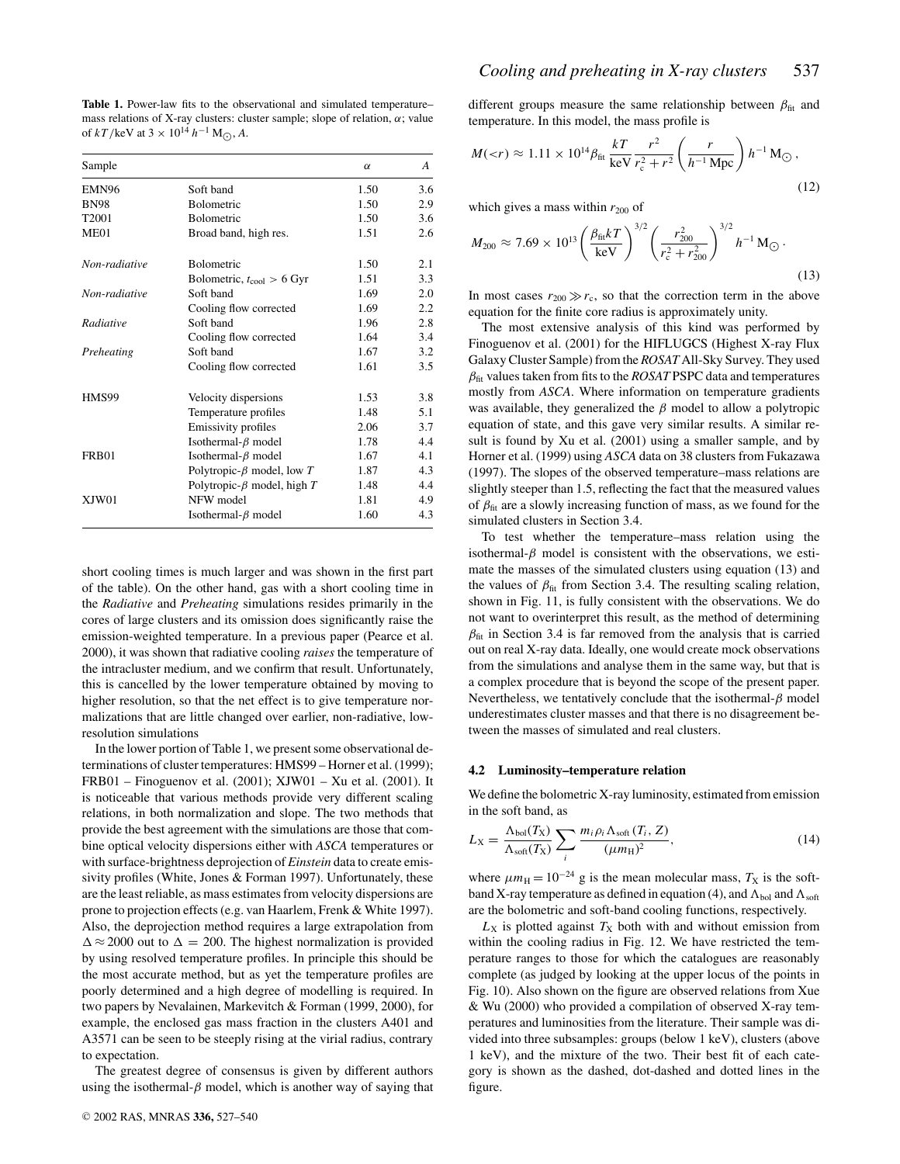**Table 1.** Power-law fits to the observational and simulated temperature– mass relations of X-ray clusters: cluster sample; slope of relation,  $\alpha$ ; value of  $kT$ /keV at  $3 \times 10^{14} h^{-1}$  M<sub>(0</sub>, A.

| Sample            |                                       | $\alpha$ | A       |
|-------------------|---------------------------------------|----------|---------|
| EMN96             | Soft band                             | 1.50     | 3.6     |
| <b>BN98</b>       | Bolometric                            | 1.50     | 2.9     |
| T <sub>2001</sub> | Bolometric                            | 1.50     | 3.6     |
| ME01              | Broad band, high res.                 | 1.51     | 2.6     |
| Non-radiative     | <b>Bolometric</b>                     | 1.50     | 2.1     |
|                   | Bolometric, $t_{\text{cool}} > 6$ Gyr | 1.51     | 3.3     |
| Non-radiative     | Soft band                             | 1.69     | 2.0     |
|                   | Cooling flow corrected                | 1.69     | $2.2\,$ |
| Radiative         | Soft band                             | 1.96     | 2.8     |
|                   | Cooling flow corrected                | 1.64     | 3.4     |
| Preheating        | Soft band                             | 1.67     | 3.2     |
|                   | Cooling flow corrected                | 1.61     | 3.5     |
| HMS99             | Velocity dispersions                  | 1.53     | 3.8     |
|                   | Temperature profiles                  | 1.48     | 5.1     |
|                   | Emissivity profiles                   | 2.06     | 3.7     |
|                   | Isothermal- $\beta$ model             | 1.78     | 4.4     |
| FRB01             | Isothermal- $\beta$ model             | 1.67     | 4.1     |
|                   | Polytropic- $\beta$ model, low T      | 1.87     | 4.3     |
|                   | Polytropic- $\beta$ model, high T     | 1.48     | 4.4     |
| XJW01             | NFW model                             | 1.81     | 4.9     |
|                   | Isothermal- $\beta$ model             | 1.60     | 4.3     |

short cooling times is much larger and was shown in the first part of the table). On the other hand, gas with a short cooling time in the *Radiative* and *Preheating* simulations resides primarily in the cores of large clusters and its omission does significantly raise the emission-weighted temperature. In a previous paper (Pearce et al. 2000), it was shown that radiative cooling *raises* the temperature of the intracluster medium, and we confirm that result. Unfortunately, this is cancelled by the lower temperature obtained by moving to higher resolution, so that the net effect is to give temperature normalizations that are little changed over earlier, non-radiative, lowresolution simulations

In the lower portion of Table 1, we present some observational determinations of cluster temperatures: HMS99 – Horner et al. (1999); FRB01 – Finoguenov et al. (2001); XJW01 – Xu et al. (2001). It is noticeable that various methods provide very different scaling relations, in both normalization and slope. The two methods that provide the best agreement with the simulations are those that combine optical velocity dispersions either with *ASCA* temperatures or with surface-brightness deprojection of *Einstein* data to create emissivity profiles (White, Jones & Forman 1997). Unfortunately, these are the least reliable, as mass estimates from velocity dispersions are prone to projection effects (e.g. van Haarlem, Frenk & White 1997). Also, the deprojection method requires a large extrapolation from  $\Delta \approx 2000$  out to  $\Delta = 200$ . The highest normalization is provided by using resolved temperature profiles. In principle this should be the most accurate method, but as yet the temperature profiles are poorly determined and a high degree of modelling is required. In two papers by Nevalainen, Markevitch & Forman (1999, 2000), for example, the enclosed gas mass fraction in the clusters A401 and A3571 can be seen to be steeply rising at the virial radius, contrary to expectation.

The greatest degree of consensus is given by different authors using the isothermal- $\beta$  model, which is another way of saying that different groups measure the same relationship between  $\beta_{\text{fit}}$  and temperature. In this model, the mass profile is

$$
M(
$$

which gives a mass within  $r_{200}$  of

$$
M_{200} \approx 7.69 \times 10^{13} \left(\frac{\beta_{\text{fit}} kT}{\text{keV}}\right)^{3/2} \left(\frac{r_{200}^2}{r_c^2 + r_{200}^2}\right)^{3/2} h^{-1} M_{\odot}.
$$
\n(13)

In most cases  $r_{200} \gg r_c$ , so that the correction term in the above equation for the finite core radius is approximately unity.

The most extensive analysis of this kind was performed by Finoguenov et al. (2001) for the HIFLUGCS (Highest X-ray Flux Galaxy Cluster Sample) from the *ROSAT* All-Sky Survey. They used  $\beta_{\text{fit}}$  values taken from fits to the *ROSAT* PSPC data and temperatures mostly from *ASCA*. Where information on temperature gradients was available, they generalized the  $\beta$  model to allow a polytropic equation of state, and this gave very similar results. A similar result is found by Xu et al. (2001) using a smaller sample, and by Horner et al. (1999) using *ASCA* data on 38 clusters from Fukazawa (1997). The slopes of the observed temperature–mass relations are slightly steeper than 1.5, reflecting the fact that the measured values of  $\beta_{\text{fit}}$  are a slowly increasing function of mass, as we found for the simulated clusters in Section 3.4.

To test whether the temperature–mass relation using the isothermal- $\beta$  model is consistent with the observations, we estimate the masses of the simulated clusters using equation (13) and the values of  $\beta_{\text{fit}}$  from Section 3.4. The resulting scaling relation, shown in Fig. 11, is fully consistent with the observations. We do not want to overinterpret this result, as the method of determining  $\beta_{\text{fit}}$  in Section 3.4 is far removed from the analysis that is carried out on real X-ray data. Ideally, one would create mock observations from the simulations and analyse them in the same way, but that is a complex procedure that is beyond the scope of the present paper. Nevertheless, we tentatively conclude that the isothermal- $\beta$  model underestimates cluster masses and that there is no disagreement between the masses of simulated and real clusters.

## **4.2 Luminosity–temperature relation**

We define the bolometric X-ray luminosity, estimated from emission in the soft band, as

$$
L_{\rm X} = \frac{\Lambda_{\rm bol}(T_{\rm X})}{\Lambda_{\rm soft}(T_{\rm X})} \sum_{i} \frac{m_i \rho_i \Lambda_{\rm soft}(T_i, Z)}{(\mu m_{\rm H})^2},\tag{14}
$$

where  $\mu m_H = 10^{-24}$  g is the mean molecular mass,  $T_X$  is the softband X-ray temperature as defined in equation (4), and  $\Lambda_{bol}$  and  $\Lambda_{soft}$ are the bolometric and soft-band cooling functions, respectively.

 $L_X$  is plotted against  $T_X$  both with and without emission from within the cooling radius in Fig. 12. We have restricted the temperature ranges to those for which the catalogues are reasonably complete (as judged by looking at the upper locus of the points in Fig. 10). Also shown on the figure are observed relations from Xue & Wu (2000) who provided a compilation of observed X-ray temperatures and luminosities from the literature. Their sample was divided into three subsamples: groups (below 1 keV), clusters (above 1 keV), and the mixture of the two. Their best fit of each category is shown as the dashed, dot-dashed and dotted lines in the figure.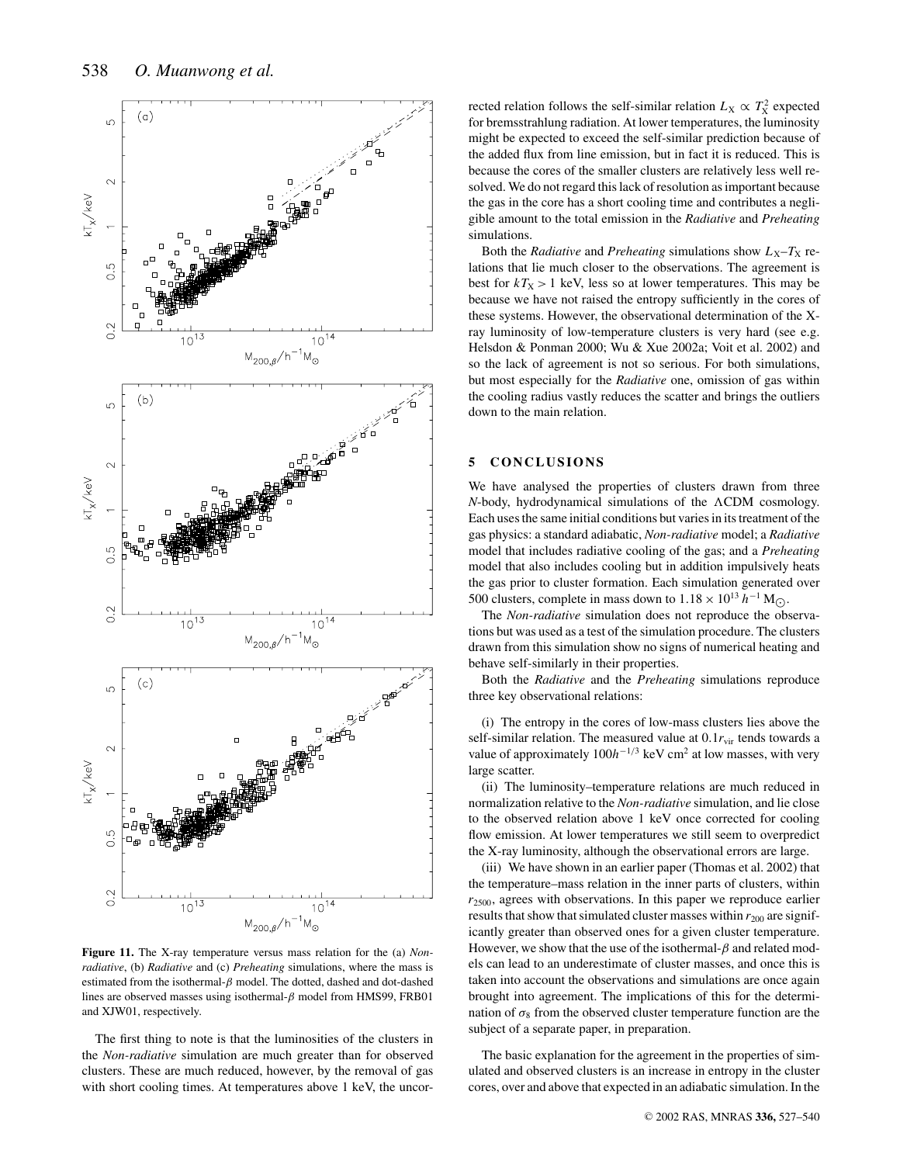

**Figure 11.** The X-ray temperature versus mass relation for the (a) *Nonradiative*, (b) *Radiative* and (c) *Preheating* simulations, where the mass is estimated from the isothermal- $\beta$  model. The dotted, dashed and dot-dashed lines are observed masses using isothermal- $\beta$  model from HMS99, FRB01 and XJW01, respectively.

The first thing to note is that the luminosities of the clusters in the *Non-radiative* simulation are much greater than for observed clusters. These are much reduced, however, by the removal of gas with short cooling times. At temperatures above 1 keV, the uncor-

rected relation follows the self-similar relation  $L_X \propto T_X^2$  expected for bremsstrahlung radiation. At lower temperatures, the luminosity might be expected to exceed the self-similar prediction because of the added flux from line emission, but in fact it is reduced. This is because the cores of the smaller clusters are relatively less well resolved. We do not regard this lack of resolution as important because the gas in the core has a short cooling time and contributes a negligible amount to the total emission in the *Radiative* and *Preheating* simulations.

Both the *Radiative* and *Preheating* simulations show  $L_X-T_X$  relations that lie much closer to the observations. The agreement is best for  $kT_X > 1$  keV, less so at lower temperatures. This may be because we have not raised the entropy sufficiently in the cores of these systems. However, the observational determination of the Xray luminosity of low-temperature clusters is very hard (see e.g. Helsdon & Ponman 2000; Wu & Xue 2002a; Voit et al. 2002) and so the lack of agreement is not so serious. For both simulations, but most especially for the *Radiative* one, omission of gas within the cooling radius vastly reduces the scatter and brings the outliers down to the main relation.

## **5 CONCLUSIONS**

We have analysed the properties of clusters drawn from three  $N$ -body, hydrodynamical simulations of the  $\Lambda$ CDM cosmology. Each uses the same initial conditions but varies in its treatment of the gas physics: a standard adiabatic, *Non-radiative* model; a *Radiative* model that includes radiative cooling of the gas; and a *Preheating* model that also includes cooling but in addition impulsively heats the gas prior to cluster formation. Each simulation generated over 500 clusters, complete in mass down to  $1.18 \times 10^{13} h^{-1}$  M<sub>○</sub>.

The *Non-radiative* simulation does not reproduce the observations but was used as a test of the simulation procedure. The clusters drawn from this simulation show no signs of numerical heating and behave self-similarly in their properties.

Both the *Radiative* and the *Preheating* simulations reproduce three key observational relations:

(i) The entropy in the cores of low-mass clusters lies above the self-similar relation. The measured value at  $0.1r_{\text{vir}}$  tends towards a value of approximately 100*h*−1/<sup>3</sup> keV cm2 at low masses, with very large scatter.

(ii) The luminosity–temperature relations are much reduced in normalization relative to the *Non-radiative* simulation, and lie close to the observed relation above 1 keV once corrected for cooling flow emission. At lower temperatures we still seem to overpredict the X-ray luminosity, although the observational errors are large.

(iii) We have shown in an earlier paper (Thomas et al. 2002) that the temperature–mass relation in the inner parts of clusters, within  $r_{2500}$ , agrees with observations. In this paper we reproduce earlier results that show that simulated cluster masses within  $r_{200}$  are significantly greater than observed ones for a given cluster temperature. However, we show that the use of the isothermal- $\beta$  and related models can lead to an underestimate of cluster masses, and once this is taken into account the observations and simulations are once again brought into agreement. The implications of this for the determination of  $\sigma_8$  from the observed cluster temperature function are the subject of a separate paper, in preparation.

The basic explanation for the agreement in the properties of simulated and observed clusters is an increase in entropy in the cluster cores, over and above that expected in an adiabatic simulation. In the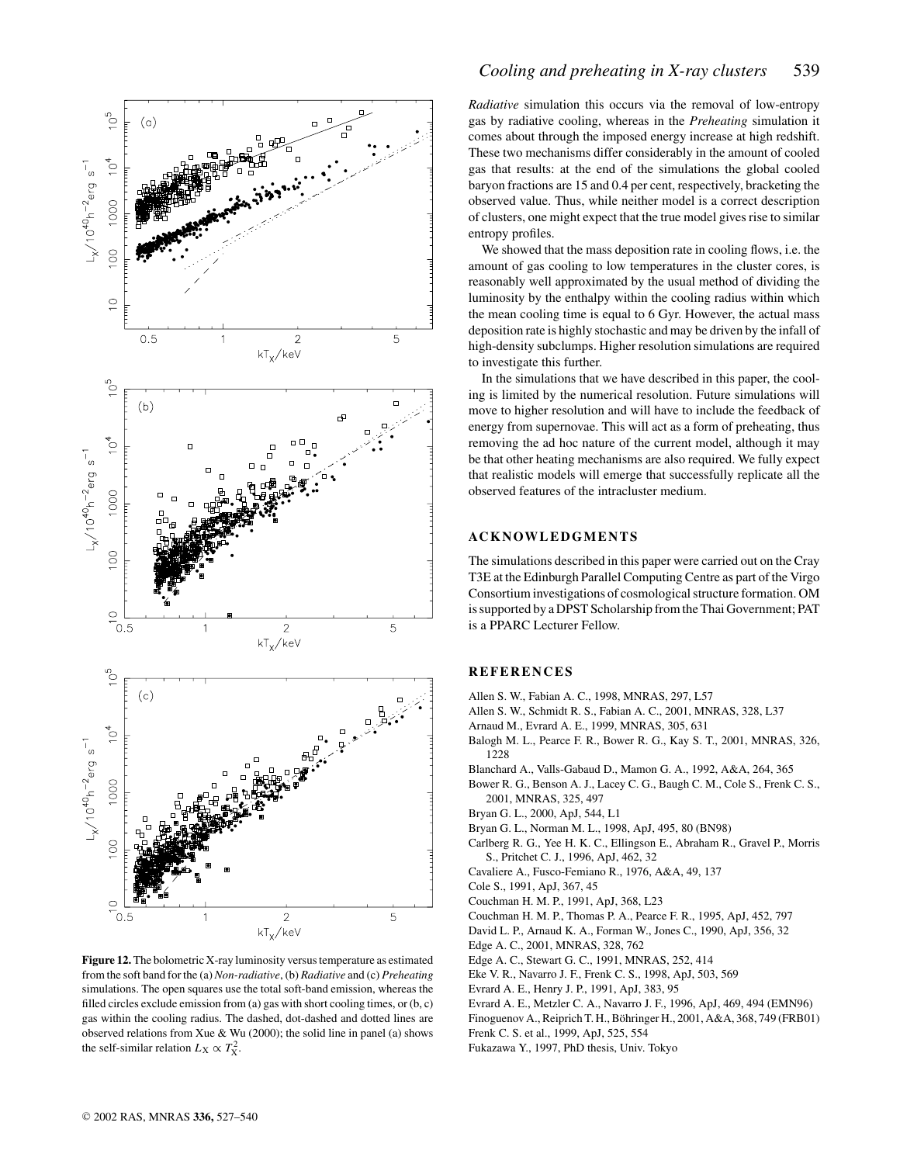

**Figure 12.** The bolometric X-ray luminosity versus temperature as estimated from the soft band for the (a) *Non-radiative*, (b) *Radiative* and (c) *Preheating* simulations. The open squares use the total soft-band emission, whereas the filled circles exclude emission from (a) gas with short cooling times, or (b, c) gas within the cooling radius. The dashed, dot-dashed and dotted lines are observed relations from Xue & Wu (2000); the solid line in panel (a) shows the self-similar relation  $L_X \propto T_X^2$ .

## *Cooling and preheating in X-ray clusters* 539

*Radiative* simulation this occurs via the removal of low-entropy gas by radiative cooling, whereas in the *Preheating* simulation it comes about through the imposed energy increase at high redshift. These two mechanisms differ considerably in the amount of cooled gas that results: at the end of the simulations the global cooled baryon fractions are 15 and 0.4 per cent, respectively, bracketing the observed value. Thus, while neither model is a correct description of clusters, one might expect that the true model gives rise to similar entropy profiles.

We showed that the mass deposition rate in cooling flows, i.e. the amount of gas cooling to low temperatures in the cluster cores, is reasonably well approximated by the usual method of dividing the luminosity by the enthalpy within the cooling radius within which the mean cooling time is equal to 6 Gyr. However, the actual mass deposition rate is highly stochastic and may be driven by the infall of high-density subclumps. Higher resolution simulations are required to investigate this further.

In the simulations that we have described in this paper, the cooling is limited by the numerical resolution. Future simulations will move to higher resolution and will have to include the feedback of energy from supernovae. This will act as a form of preheating, thus removing the ad hoc nature of the current model, although it may be that other heating mechanisms are also required. We fully expect that realistic models will emerge that successfully replicate all the observed features of the intracluster medium.

## **ACKNOWLEDGMENTS**

The simulations described in this paper were carried out on the Cray T3E at the Edinburgh Parallel Computing Centre as part of the Virgo Consortium investigations of cosmological structure formation. OM is supported by a DPST Scholarship from the Thai Government; PAT is a PPARC Lecturer Fellow.

## **REFERENCES**

- Allen S. W., Fabian A. C., 1998, MNRAS, 297, L57
- Allen S. W., Schmidt R. S., Fabian A. C., 2001, MNRAS, 328, L37
- Arnaud M., Evrard A. E., 1999, MNRAS, 305, 631
- Balogh M. L., Pearce F. R., Bower R. G., Kay S. T., 2001, MNRAS, 326, 1228
- Blanchard A., Valls-Gabaud D., Mamon G. A., 1992, A&A, 264, 365
- Bower R. G., Benson A. J., Lacey C. G., Baugh C. M., Cole S., Frenk C. S., 2001, MNRAS, 325, 497
- Bryan G. L., 2000, ApJ, 544, L1
- Bryan G. L., Norman M. L., 1998, ApJ, 495, 80 (BN98)
- Carlberg R. G., Yee H. K. C., Ellingson E., Abraham R., Gravel P., Morris S., Pritchet C. J., 1996, ApJ, 462, 32
- Cavaliere A., Fusco-Femiano R., 1976, A&A, 49, 137
- Cole S., 1991, ApJ, 367, 45
- Couchman H. M. P., 1991, ApJ, 368, L23
- Couchman H. M. P., Thomas P. A., Pearce F. R., 1995, ApJ, 452, 797
- David L. P., Arnaud K. A., Forman W., Jones C., 1990, ApJ, 356, 32 Edge A. C., 2001, MNRAS, 328, 762
- Edge A. C., Stewart G. C., 1991, MNRAS, 252, 414
- Eke V. R., Navarro J. F., Frenk C. S., 1998, ApJ, 503, 569
- Evrard A. E., Henry J. P., 1991, ApJ, 383, 95
- Evrard A. E., Metzler C. A., Navarro J. F., 1996, ApJ, 469, 494 (EMN96)
- Finoguenov A., Reiprich T. H., Böhringer H., 2001, A&A, 368, 749 (FRB01)
- Frenk C. S. et al., 1999, ApJ, 525, 554
- Fukazawa Y., 1997, PhD thesis, Univ. Tokyo